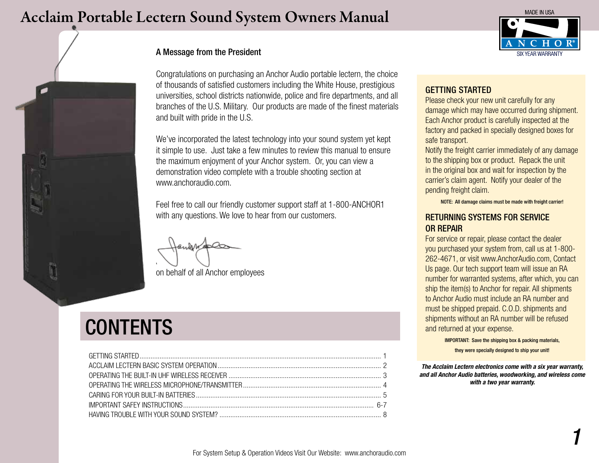

### A Message from the President

Congratulations on purchasing an Anchor Audio portable lectern, the choice of thousands of satisfied customers including the White House, prestigious universities, school districts nationwide, police and fire departments, and all branches of the U.S. Military. Our products are made of the finest materials and built with pride in the U.S.

We've incorporated the latest technology into your sound system yet kept it simple to use. Just take a few minutes to review this manual to ensure the maximum enjoyment of your Anchor system. Or, you can view a demonstration video complete with a trouble shooting section at www.anchoraudio.com.

Feel free to call our friendly customer support staff at 1-800-ANCHOR1 with any questions. We love to hear from our customers.

 $\cup$   $\cup$ 

on behalf of all Anchor employees

# **CONTENTS**



### GETTING STARTED

Please check your new unit carefully for any damage which may have occurred during shipment. Each Anchor product is carefully inspected at the factory and packed in specially designed boxes for safe transport.

Notify the freight carrier immediately of any damage to the shipping box or product. Repack the unit in the original box and wait for inspection by the carrier's claim agent. Notify your dealer of the pending freight claim.

NOTE: All damage claims must be made with freight carrier!

### RETURNING SYSTEMS FOR SERVICE OR REPAIR

For service or repair, please contact the dealer you purchased your system from, call us at 1-800- 262-4671, or visit www.AnchorAudio.com, Contact Us page. Our tech support team will issue an RA number for warranted systems, after which, you can ship the item(s) to Anchor for repair. All shipments to Anchor Audio must include an RA number and must be shipped prepaid. C.O.D. shipments and shipments without an RA number will be refused and returned at your expense.

IMPORTANT: Save the shipping box & packing materials,

they were specially designed to ship your unit!

*The Acclaim Lectern electronics come with a six year warranty, and all Anchor Audio batteries, woodworking, and wireless come with a two year warranty.*

*1*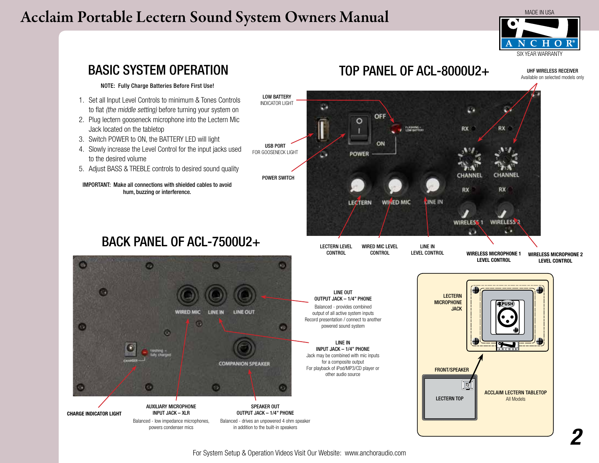

#### BASIC SYSTEM OPERATION NOTE: Fully Charge Batteries Before First Use! LOW BATTERY 1. Set all Input Level Controls to minimum & Tones Controls INDICATOR LIGHT B to flat (the middle setting) before turning your system on OFF 2. Plug lectern gooseneck microphone into the Lectern Mic  $\circ$ Jack located on the tabletop 3. Switch POWER to ON, the BATTERY LED will light ON USB PORT 4. Slowly increase the Level Control for the input jacks used FOR GOOSENECK LIGHT **POWER** C. to the desired volume 5. Adjust BASS & TREBLE controls to desired sound quality POWER SWITCH

IMPORTANT: Make all connections with shielded cables to avoid hum, buzzing or interference.

### BACK PANEL OF ACL-7500U2+



# TOP PANEL OF ACL-8000U2+

UHF WIRELESS RECEIVER Available on selected models only

#### Đ RX **RX** CHANNEL CHANNEL RX RX **WIMED MIC CINE IN** LEVTERN **WIRELESS** WIRELESS 1 LECTERN LEVEL WIRED MIC LEVEL LINE IN LEVEL CONTROL CONTROL **WIRELESS MICROPHONE 1 CONTROL WIRELESS MICROPHONE 2 LEVEL CONTROL LEVEL CONTROL**LINE OUT LECTERN OUTPUT JACK – 1/4" phone **MICROPHONE** Balanced - provides combined JACK output of all active system inputs Record presentation / connect to another powered sound system

LINE IN INPUT JACK – 1/4" phone Jack may be combined with mic inputs for a composite output For playback of iPod/MP3/CD player or other audio source

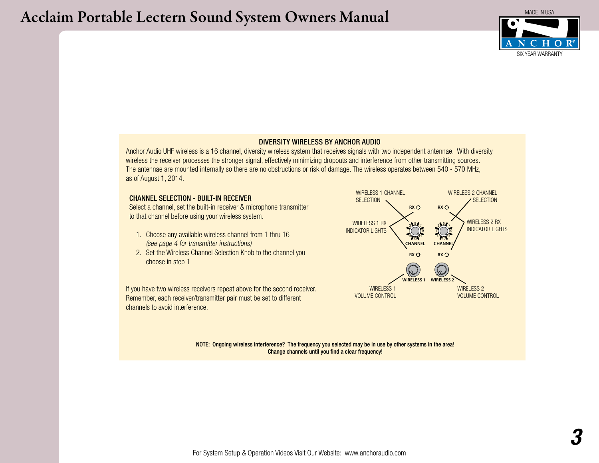

#### DIVERSITY WIRELESS BY ANCHOR AUDIO

Anchor Audio UHF wireless is a 16 channel, diversity wireless system that receives signals with two independent antennae. With diversity wireless the receiver processes the stronger signal, effectively minimizing dropouts and interference from other transmitting sources. The antennae are mounted internally so there are no obstructions or risk of damage. The wireless operates between 540 - 570 MHz, as of August 1, 2014.

#### CHANNEL SELECTION - BUILT-IN RECEIVER

Select a channel, set the built-in receiver & microphone transmitter to that channel before using your wireless system.

- 1. Choose any available wireless channel from 1 thru 16 (see page 4 for transmitter instructions)
- 2. Set the Wireless Channel Selection Knob to the channel you choose in step 1

If you have two wireless receivers repeat above for the second receiver. Remember, each receiver/transmitter pair must be set to different channels to avoid interference.



NOTE: Ongoing wireless interference? The frequency you selected may be in use by other systems in the area! Change channels until you find a clear frequency!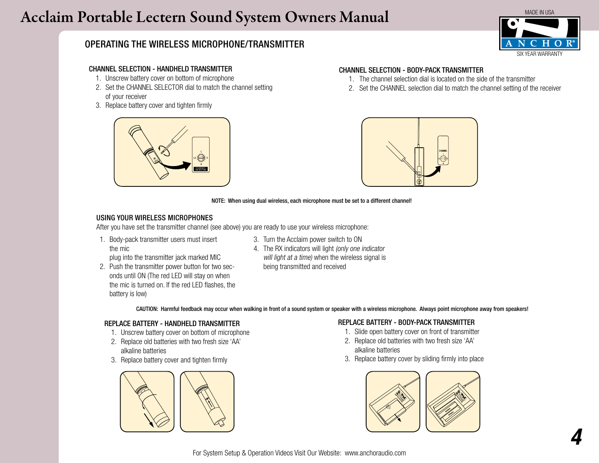

### OPERATING THE WIRELESS MICROPHONE/TRANSMITTER

#### CHANNEL SELECTION - HANDHELD TRANSMITTER

- 1. Unscrew battery cover on bottom of microphone
- 2. Set the CHANNEL SELECTOR dial to match the channel setting of your receiver
- 3. Replace battery cover and tighten firmly



### CHANNEL SELECTION - BODY-PACK TRANSMITTER

- 1. The channel selection dial is located on the side of the transmitter
- 2. Set the CHANNEL selection dial to match the channel setting of the receiver



#### NOTE: When using dual wireless, each microphone must be set to a different channel!

#### USING YOUR WIRELESS MICROPHONES

After you have set the transmitter channel (see above) you are ready to use your wireless microphone:

1. Body-pack transmitter users must insert the mic

plug into the transmitter jack marked MIC

- 2. Push the transmitter power button for two seconds until ON (The red LED will stay on when the mic is turned on. If the red LED flashes, the battery is low)
- 3. Turn the Acclaim power switch to ON
- 4. The RX indicators will light (only one indicator will light at a time) when the wireless signal is being transmitted and received

CAUTION: Harmful feedback may occur when walking in front of a sound system or speaker with a wireless microphone. Always point microphone away from speakers!

#### REPLACE BATTERY - HANDHELD TRANSMITTER

- 1. Unscrew battery cover on bottom of microphone
- 2. Replace old batteries with two fresh size 'AA' alkaline batteries
- 3. Replace battery cover and tighten firmly



### REPLACE BATTERY - BODY-PACK TRANSMITTER

- 1. Slide open battery cover on front of transmitter
- 2. Replace old batteries with two fresh size 'AA' alkaline batteries
- 3. Replace battery cover by sliding firmly into place

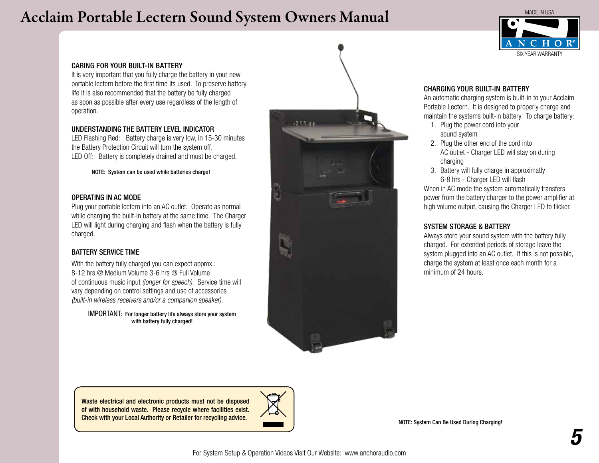

#### CARING FOR YOUR BUILT-IN BATTERY

It is very important that you fully charge the battery in your new portable lectern before the first time its used. To preserve battery life it is also recommended that the battery be fully charged as soon as possible after every use regardless of the length of operation.

#### UNDERSTANDING THE BATTERY LEVEL INDICATOR

LED Flashing Red: Battery charge is very low, in 15-30 minutes the Battery Protection Circuit will turn the system off. LED Off: Battery is completely drained and must be charged.

NOTE: System can be used while batteries charge!

#### OPERATING IN AC MODE

Plug your portable lectern into an AC outlet. Operate as normal while charging the built-in battery at the same time. The Charger LED will light during charging and flash when the battery is fully charged.

#### BATTERY SERVICE TIME

With the battery fully charged you can expect approx.: 8-12 hrs @ Medium Volume 3-6 hrs @ Full Volume of continuous music input (longer for speech). Service time will vary depending on control settings and use of accessories (built-in wireless receivers and/or a companion speaker).

IMPORTANT: For longer battery life always store your system with battery fully charged!



#### CHARGING YOUR BUILT-IN BATTERY

An automatic charging system is built-in to your Acclaim Portable Lectern. It is designed to properly charge and maintain the systems built-in battery. To charge battery:

- 1. Plug the power cord into your sound system
- 2. Plug the other end of the cord into AC outlet - Charger LED will stay on during charging
- 3. Battery will fully charge in approximatly 6-8 hrs - Charger LED will flash

When in AC mode the system automatically transfers power from the battery charger to the power amplifier at high volume output, causing the Charger LED to flicker.

#### SYSTEM STORAGE & BATTERY

Always store your sound system with the battery fully charged. For extended periods of storage leave the system plugged into an AC outlet. If this is not possible, charge the system at least once each month for a minimum of 24 hours.

Waste electrical and electronic products must not be disposed of with household waste. Please recycle where facilities exist. Check with your Local Authority or Retailer for recycling advice.  $\frac{1}{\sqrt{1-\frac{1}{n}}}$ 

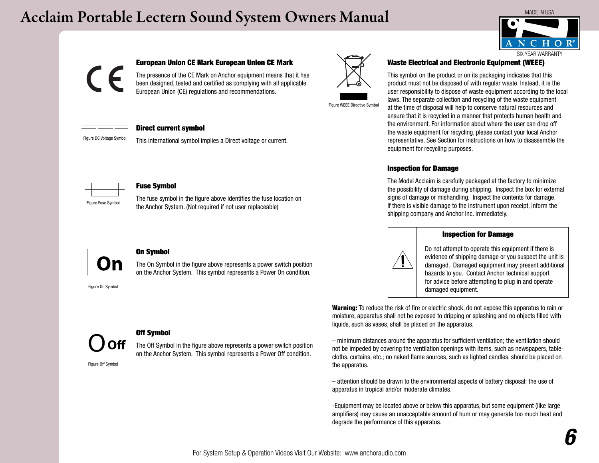



#### European Union CE Mark European Union CE Mark Wark Waste Electrical and Electronic Equipment (WEEE)

The presence of the CE Mark on Anchor equipment means that it has been designed, tested and certified as complying with all applicable European Union (CE) regulations and recommendations.



This symbol on the product or on its packaging indicates that this product must not be disposed of with regular waste. Instead, it is the user responsibility to dispose of waste equipment according to the local laws. The separate collection and recycling of the waste equipment at the time of disposal will help to conserve natural resources and ensure that it is recycled in a manner that protects human health and the environment. For information about where the user can drop off the waste equipment for recycling, please contact your local Anchor representative. See Section for instructions on how to disassemble the equipment for recycling purposes.

#### Inspection for Damage

The Model Acclaim is carefully packaged at the factory to minimize the possibility of damage during shipping. Inspect the box for external signs of damage or mishandling. Inspect the contents for damage. If there is visible damage to the instrument upon receipt, inform the shipping company and Anchor Inc. immediately.



#### Inspection for Damage

Do not attempt to operate this equipment if there is evidence of shipping damage or you suspect the unit is damaged. Damaged equipment may present additional hazards to you. Contact Anchor technical support for advice before attempting to plug in and operate damaged equipment.

Warning: To reduce the risk of fire or electric shock, do not expose this apparatus to rain or moisture, apparatus shall not be exposed to dripping or splashing and no objects filled with liquids, such as vases, shall be placed on the apparatus.

– minimum distances around the apparatus for sufficient ventilation; the ventilation should not be impeded by covering the ventilation openings with items, such as newspapers, tablecloths, curtains, etc.; no naked flame sources, such as lighted candles, should be placed on the apparatus.

– attention should be drawn to the environmental aspects of battery disposal; the use of apparatus in tropical and/or moderate climates.

-Equipment may be located above or below this apparatus, but some equipment (like large amplifiers) may cause an unacceptable amount of hum or may generate too much heat and degrade the performance of this apparatus.



Figure DC Voltage Symbol

#### Fuse Symbol

Figure Fuse Symbol

Direct current symbol

The fuse symbol in the figure above identifies the fuse location on the Anchor System. (Not required if not user replaceable)

This international symbol implies a Direct voltage or current.



#### On Symbol

The On Symbol in the figure above represents a power switch position on the Anchor System. This symbol represents a Power On condition.

Figure On Symbol



#### Off Symbol

The Off Symbol in the figure above represents a power switch position on the Anchor System. This symbol represents a Power Off condition.

Figure Off Symbol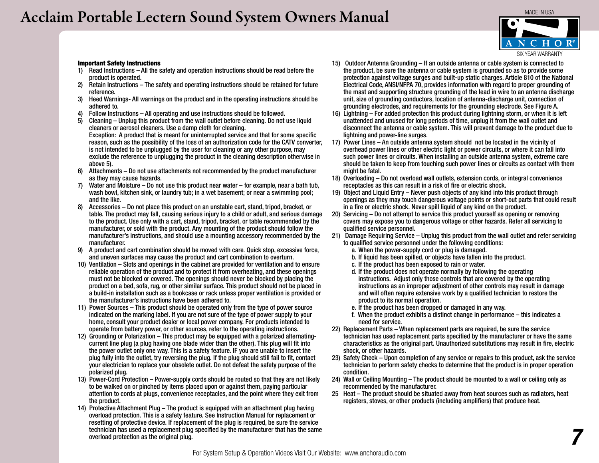

#### Important Safety Instructions

- 1) Read Instructions All the safety and operation instructions should be read before the product is operated.
- 2) Retain Instructions The safety and operating instructions should be retained for future reference.
- 3) Heed Warnings- All warnings on the product and in the operating instructions should be adhered to.
- 4) Follow Instructions All operating and use instructions should be followed.<br>5) Cleaning Unplug this product from the wall outlet before cleaning. Do not
- 5) Cleaning Unplug this product from the wall outlet before cleaning. Do not use liquid cleaners or aerosol cleaners. Use a damp cloth for cleaning. Exception: A product that is meant for uninterrupted service and that for some specific reason, such as the possibility of the loss of an authorization code for the CATV converter, is not intended to be unplugged by the user for cleaning or any other purpose, may exclude the reference to unplugging the product in the cleaning description otherwise in above 5).
- 6) Attachments Do not use attachments not recommended by the product manufacturer as they may cause hazards.
- 7) Water and Moisture Do not use this product near water for example, near a bath tub, wash bowl, kitchen sink, or laundry tub; in a wet basement; or near a swimming pool; and the like.
- 8) Accessories Do not place this product on an unstable cart, stand, tripod, bracket, or table. The product may fall, causing serious injury to a child or adult, and serious damage to the product. Use only with a cart, stand, tripod, bracket, or table recommended by the manufacturer, or sold with the product. Any mounting of the product should follow the manufacturer's instructions, and should use a mounting accessory recommended by the manufacturer.
- 9) A product and cart combination should be moved with care. Quick stop, excessive force, and uneven surfaces may cause the product and cart combination to overturn.
- 10) Ventilation Slots and openings in the cabinet are provided for ventilation and to ensure reliable operation of the product and to protect it from overheating, and these openings must not be blocked or covered. The openings should never be blocked by placing the product on a bed, sofa, rug, or other similar surface. This product should not be placed in a build-in installation such as a bookcase or rack unless proper ventilation is provided or the manufacturer's instructions have been adhered to.
- 11) Power Sources This product should be operated only from the type of power source indicated on the marking label. If you are not sure of the type of power supply to your home, consult your product dealer or local power company. For products intended to operate from battery power, or other sources, refer to the operating instructions.
- 12) Grounding or Polarization This product may be equipped with a polarized alternatingcurrent line plug (a plug having one blade wider than the other). This plug will fit into the power outlet only one way. This is a safety feature. IF you are unable to insert the plug fully into the outlet, try reversing the plug. If the plug should still fail to fit, contact your electrician to replace your obsolete outlet. Do not defeat the safety purpose of the polarized plug.
- 13) Power-Cord Protection Power-supply cords should be routed so that they are not likely to be walked on or pinched by items placed upon or against them, paying particular attention to cords at plugs, convenience receptacles, and the point where they exit from the product.
- 14) Protective Attachment Plug The product is equipped with an attachment plug having overload protection. This is a safety feature. See Instruction Manual for replacement or resetting of protective device. If replacement of the plug is required, be sure the service technician has used a replacement plug specified by the manufacturer that has the same overload protection as the original plug.
- 15) Outdoor Antenna Grounding If an outside antenna or cable system is connected to the product, be sure the antenna or cable system is grounded so as to provide some protection against voltage surges and built-up static charges. Article 810 of the National Electrical Code, ANSI/NFPA 70, provides information with regard to proper grounding of the mast and supporting structure grounding of the lead in wire to an antenna discharge unit, size of grounding conductors, location of antenna-discharge unit, connection of grounding electrodes, and requirements for the grounding electrode. See Figure A.
- 16) Lightning For added protection this product during lightning storm, or when it is left unattended and unused for long periods of time, unplug it from the wall outlet and disconnect the antenna or cable system. This will prevent damage to the product due to lightning and power-line surges.
- 17) Power Lines An outside antenna system should not be located in the vicinity of overhead power lines or other electric light or power circuits, or where it can fall into such power lines or circuits. When installing an outside antenna system, extreme care should be taken to keep from touching such power lines or circuits as contact with them might be fatal.
- 18) Overloading Do not overload wall outlets, extension cords, or integral convenience receptacles as this can result in a risk of fire or electric shock.
- 19) Object and Liquid Entry Never push objects of any kind into this product through openings as they may touch dangerous voltage points or short-out parts that could result in a fire or electric shock. Never spill liquid of any kind on the product.
- 20) Servicing Do not attempt to service this product yourself as opening or removing covers may expose you to dangerous voltage or other hazards. Refer all servicing to qualified service personnel.
- 21) Damage Requiring Service Unplug this product from the wall outlet and refer servicing to qualified service personnel under the following conditions:
	- a. When the power-supply cord or plug is damaged.
	- b. If liquid has been spilled, or objects have fallen into the product.
	- c. If the product has been exposed to rain or water.
	- d. If the product does not operate normally by following the operating instructions. Adjust only those controls that are covered by the operating instructions as an improper adjustment of other controls may result in damage and will often require extensive work by a qualified technician to restore the product to its normal operation.
	- e. If the product has been dropped or damaged in any way.
	- f. When the product exhibits a distinct change in performance this indicates a need for service.
- 22) Replacement Parts When replacement parts are required, be sure the service technician has used replacement parts specified by the manufacturer or have the same characteristics as the original part. Unauthorized substitutions may result in fire, electric shock, or other hazards.
- 23) Safety Check Upon completion of any service or repairs to this product, ask the service technician to perform safety checks to determine that the product is in proper operation condition.
- 24) Wall or Ceiling Mounting The product should be mounted to a wall or ceiling only as recommended by the manufacturer.
- 25 Heat The product should be situated away from heat sources such as radiators, heat registers, stoves, or other products (including amplifiers) that produce heat.